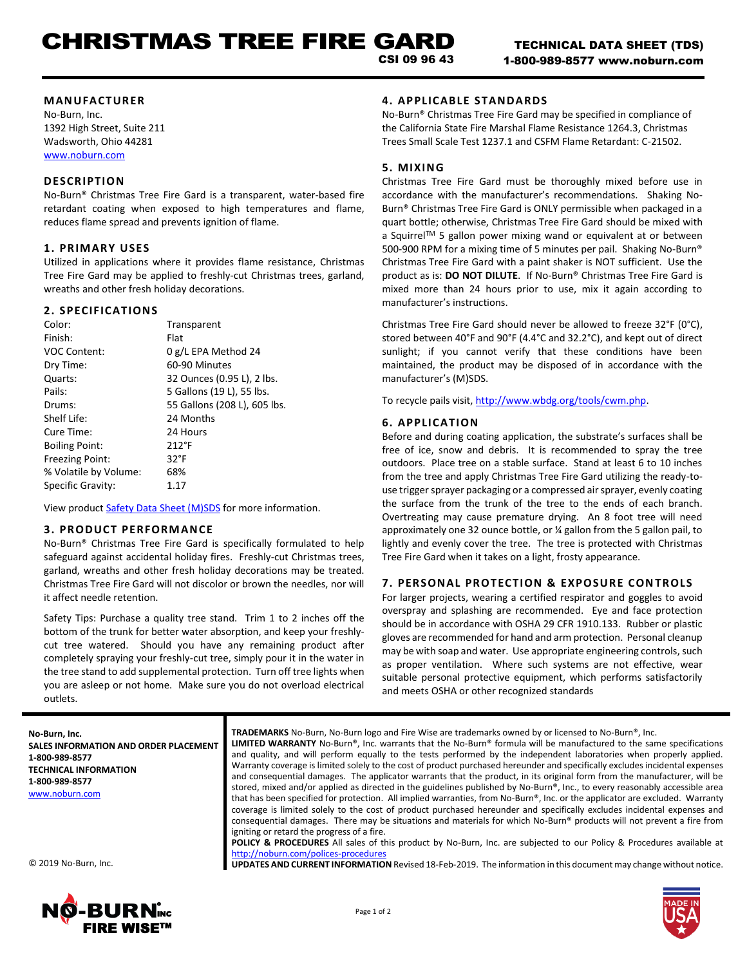## **MANUFACTURER**

No-Burn, Inc. 1392 High Street, Suite 211 Wadsworth, Ohio 44281 [www.noburn.com](http://www.noburn.com/)

# **DESCRIPTION**

No-Burn® Christmas Tree Fire Gard is a transparent, water-based fire retardant coating when exposed to high temperatures and flame, reduces flame spread and prevents ignition of flame.

# **1. PRIM ARY USES**

Utilized in applications where it provides flame resistance, Christmas Tree Fire Gard may be applied to freshly-cut Christmas trees, garland, wreaths and other fresh holiday decorations.

# **2. SPECIFICATIONS**

| Color:                | Transparent                  |
|-----------------------|------------------------------|
| Finish:               | Flat                         |
| <b>VOC Content:</b>   | 0 g/L EPA Method 24          |
| Dry Time:             | 60-90 Minutes                |
| Quarts:               | 32 Ounces (0.95 L), 2 lbs.   |
| Pails:                | 5 Gallons (19 L), 55 lbs.    |
| Drums:                | 55 Gallons (208 L), 605 lbs. |
| Shelf Life:           | 24 Months                    |
| Cure Time:            | 24 Hours                     |
| <b>Boiling Point:</b> | $212^{\circ}F$               |
| Freezing Point:       | $32^{\circ}F$                |
| % Volatile by Volume: | 68%                          |
| Specific Gravity:     | 1.17                         |

View product [Safety Data Sheet \(M\)SDS](http://noburn.com/images/pdf/ctfgmsds.pdf) for more information.

## **3. PRODUCT PERFORM ANCE**

No-Burn® Christmas Tree Fire Gard is specifically formulated to help safeguard against accidental holiday fires. Freshly-cut Christmas trees, garland, wreaths and other fresh holiday decorations may be treated. Christmas Tree Fire Gard will not discolor or brown the needles, nor will it affect needle retention.

Safety Tips: Purchase a quality tree stand. Trim 1 to 2 inches off the bottom of the trunk for better water absorption, and keep your freshlycut tree watered. Should you have any remaining product after completely spraying your freshly-cut tree, simply pour it in the water in the tree stand to add supplemental protection. Turn off tree lights when you are asleep or not home. Make sure you do not overload electrical outlets.

# **4. APPLICAB LE STANDARDS**

No-Burn® Christmas Tree Fire Gard may be specified in compliance of the California State Fire Marshal Flame Resistance 1264.3, Christmas Trees Small Scale Test 1237.1 and CSFM Flame Retardant: C-21502.

# **5. MIXING**

Christmas Tree Fire Gard must be thoroughly mixed before use in accordance with the manufacturer's recommendations. Shaking No-Burn® Christmas Tree Fire Gard is ONLY permissible when packaged in a quart bottle; otherwise, Christmas Tree Fire Gard should be mixed with a Squirrel™ 5 gallon power mixing wand or equivalent at or between 500-900 RPM for a mixing time of 5 minutes per pail. Shaking No-Burn® Christmas Tree Fire Gard with a paint shaker is NOT sufficient. Use the product as is: **DO NOT DILUTE**. If No-Burn® Christmas Tree Fire Gard is mixed more than 24 hours prior to use, mix it again according to manufacturer's instructions.

Christmas Tree Fire Gard should never be allowed to freeze 32°F (0°C), stored between 40°F and 90°F (4.4°C and 32.2°C), and kept out of direct sunlight; if you cannot verify that these conditions have been maintained, the product may be disposed of in accordance with the manufacturer's (M)SDS.

To recycle pails visit, http://www.wbdg.org/tools/cwm.php.

# **6. APPLICATION**

Before and during coating application, the substrate's surfaces shall be free of ice, snow and debris. It is recommended to spray the tree outdoors. Place tree on a stable surface. Stand at least 6 to 10 inches from the tree and apply Christmas Tree Fire Gard utilizing the ready-touse trigger sprayer packaging or a compressed air sprayer, evenly coating the surface from the trunk of the tree to the ends of each branch. Overtreating may cause premature drying. An 8 foot tree will need approximately one 32 ounce bottle, or ¼ gallon from the 5 gallon pail, to lightly and evenly cover the tree. The tree is protected with Christmas Tree Fire Gard when it takes on a light, frosty appearance.

# **7. PERSONAL PROTECTION & EXPOSURE CONTROLS**

For larger projects, wearing a certified respirator and goggles to avoid overspray and splashing are recommended. Eye and face protection should be in accordance with OSHA 29 CFR 1910.133. Rubber or plastic gloves are recommended for hand and arm protection. Personal cleanup may be with soap and water. Use appropriate engineering controls, such as proper ventilation. Where such systems are not effective, wear suitable personal protective equipment, which performs satisfactorily and meets OSHA or other recognized standards

**No-Burn, Inc. SALES INFORMATION AND ORDER PLACEMENT 1-800-989-8577 TECHNICAL INFORMATION 1-800-989-8577** [www.noburn.com](http://www.noburn.com/)

**TRADEMARKS** No-Burn, No-Burn logo and Fire Wise are trademarks owned by or licensed to No-Burn®, Inc.

**LIMITED WARRANTY** No-Burn®, Inc. warrants that the No-Burn® formula will be manufactured to the same specifications and quality, and will perform equally to the tests performed by the independent laboratories when properly applied. Warranty coverage is limited solely to the cost of product purchased hereunder and specifically excludes incidental expenses and consequential damages. The applicator warrants that the product, in its original form from the manufacturer, will be stored, mixed and/or applied as directed in the guidelines published by No-Burn®, Inc., to every reasonably accessible area that has been specified for protection. All implied warranties, from No-Burn®, Inc. or the applicator are excluded. Warranty coverage is limited solely to the cost of product purchased hereunder and specifically excludes incidental expenses and consequential damages. There may be situations and materials for which No-Burn® products will not prevent a fire from igniting or retard the progress of a fire.

**POLICY & PROCEDURES** All sales of this product by No-Burn, Inc. are subjected to our Policy & Procedures available at <http://noburn.com/polices-procedures> **UPDATES AND CURRENT INFORMATION** Revised 18-Feb-2019. The information in this document may change without notice.

© 2019 No-Burn, Inc.